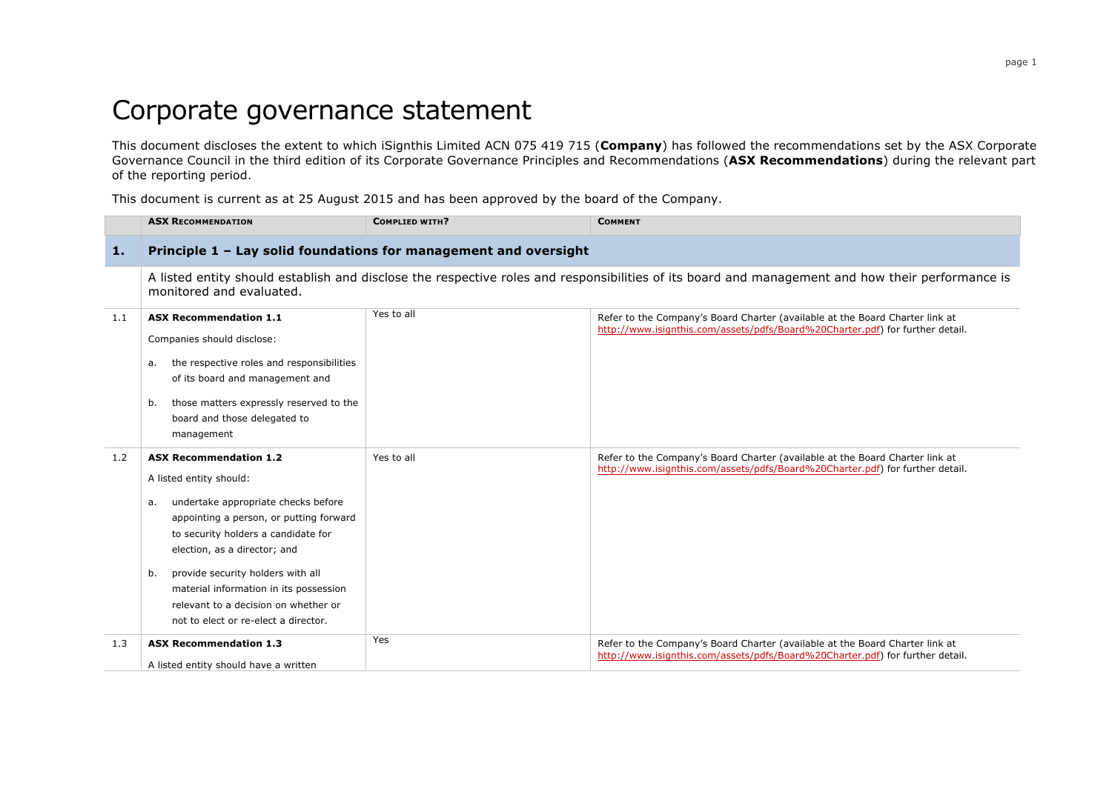## Corporate governance statement

This document discloses the extent to which iSignthis Limited ACN 075 419 715 (**Company**) has followed the recommendations set by the ASX Corporate Governance Council in the third edition of its Corporate Governance Principles and Recommendations (**ASX Recommendations**) during the relevant part of the reporting period.

This document is current as at 25 August 2015 and has been approved by the board of the Company.

|     | <b>ASX RECOMMENDATION</b>                                                                                                                                                                                                                                                                                                                                                                    | <b>COMPLIED WITH?</b> | <b>COMMENT</b>                                                                                                                                                |  |  |
|-----|----------------------------------------------------------------------------------------------------------------------------------------------------------------------------------------------------------------------------------------------------------------------------------------------------------------------------------------------------------------------------------------------|-----------------------|---------------------------------------------------------------------------------------------------------------------------------------------------------------|--|--|
| 1.  | Principle 1 - Lay solid foundations for management and oversight                                                                                                                                                                                                                                                                                                                             |                       |                                                                                                                                                               |  |  |
|     | monitored and evaluated.                                                                                                                                                                                                                                                                                                                                                                     |                       | A listed entity should establish and disclose the respective roles and responsibilities of its board and management and how their performance is              |  |  |
| 1.1 | <b>ASX Recommendation 1.1</b><br>Companies should disclose:<br>the respective roles and responsibilities<br>а.<br>of its board and management and<br>those matters expressly reserved to the<br>b.<br>board and those delegated to<br>management                                                                                                                                             | Yes to all            | Refer to the Company's Board Charter (available at the Board Charter link at<br>http://www.isignthis.com/assets/pdfs/Board%20Charter.pdf) for further detail. |  |  |
| 1.2 | <b>ASX Recommendation 1.2</b><br>A listed entity should:<br>undertake appropriate checks before<br>a.<br>appointing a person, or putting forward<br>to security holders a candidate for<br>election, as a director; and<br>provide security holders with all<br>b.<br>material information in its possession<br>relevant to a decision on whether or<br>not to elect or re-elect a director. | Yes to all            | Refer to the Company's Board Charter (available at the Board Charter link at<br>http://www.isignthis.com/assets/pdfs/Board%20Charter.pdf) for further detail. |  |  |
| 1.3 | <b>ASX Recommendation 1.3</b><br>A listed entity should have a written                                                                                                                                                                                                                                                                                                                       | Yes                   | Refer to the Company's Board Charter (available at the Board Charter link at<br>http://www.isignthis.com/assets/pdfs/Board%20Charter.pdf) for further detail. |  |  |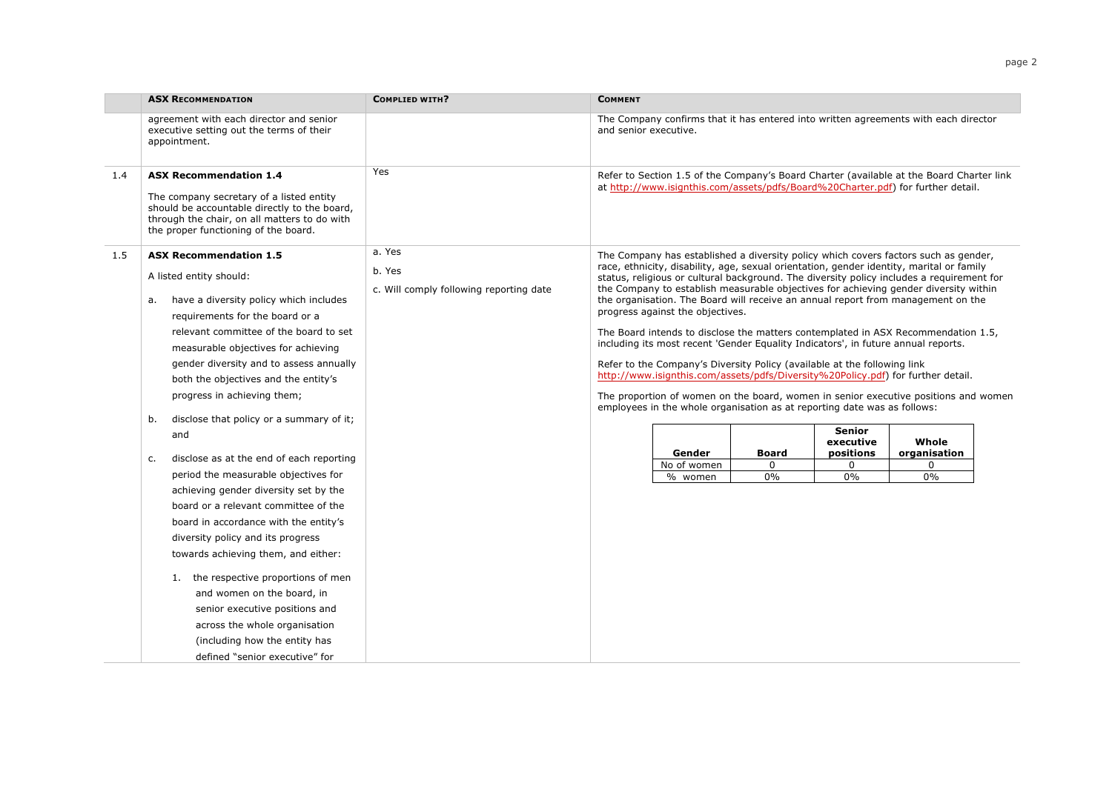|     | <b>ASX RECOMMENDATION</b>                                                                                                                                                                                                                                                                                                                                                                                                                                                                                                                                                                                                                                                                                                                                                                                                                                                                                           | <b>COMPLIED WITH?</b>                                       | <b>COMMENT</b>        |                                                                                                                                                                                                                                                                                                                   |                                   |                                                    |                                                                                                                                                                                                                                                                                                                                                                                                                                                                                                                                                                                                                                                                                                                                                                 |  |
|-----|---------------------------------------------------------------------------------------------------------------------------------------------------------------------------------------------------------------------------------------------------------------------------------------------------------------------------------------------------------------------------------------------------------------------------------------------------------------------------------------------------------------------------------------------------------------------------------------------------------------------------------------------------------------------------------------------------------------------------------------------------------------------------------------------------------------------------------------------------------------------------------------------------------------------|-------------------------------------------------------------|-----------------------|-------------------------------------------------------------------------------------------------------------------------------------------------------------------------------------------------------------------------------------------------------------------------------------------------------------------|-----------------------------------|----------------------------------------------------|-----------------------------------------------------------------------------------------------------------------------------------------------------------------------------------------------------------------------------------------------------------------------------------------------------------------------------------------------------------------------------------------------------------------------------------------------------------------------------------------------------------------------------------------------------------------------------------------------------------------------------------------------------------------------------------------------------------------------------------------------------------------|--|
|     | agreement with each director and senior<br>executive setting out the terms of their<br>appointment.                                                                                                                                                                                                                                                                                                                                                                                                                                                                                                                                                                                                                                                                                                                                                                                                                 |                                                             | and senior executive. |                                                                                                                                                                                                                                                                                                                   |                                   |                                                    | The Company confirms that it has entered into written agreements with each director                                                                                                                                                                                                                                                                                                                                                                                                                                                                                                                                                                                                                                                                             |  |
| 1.4 | <b>ASX Recommendation 1.4</b><br>The company secretary of a listed entity<br>should be accountable directly to the board,<br>through the chair, on all matters to do with<br>the proper functioning of the board.                                                                                                                                                                                                                                                                                                                                                                                                                                                                                                                                                                                                                                                                                                   | Yes                                                         |                       |                                                                                                                                                                                                                                                                                                                   |                                   |                                                    | Refer to Section 1.5 of the Company's Board Charter (available at the Board Charter link<br>at http://www.isignthis.com/assets/pdfs/Board%20Charter.pdf) for further detail.                                                                                                                                                                                                                                                                                                                                                                                                                                                                                                                                                                                    |  |
| 1.5 | <b>ASX Recommendation 1.5</b><br>A listed entity should:<br>have a diversity policy which includes<br>а.<br>requirements for the board or a<br>relevant committee of the board to set<br>measurable objectives for achieving<br>gender diversity and to assess annually<br>both the objectives and the entity's<br>progress in achieving them;<br>disclose that policy or a summary of it;<br>b.<br>and<br>disclose as at the end of each reporting<br>c.<br>period the measurable objectives for<br>achieving gender diversity set by the<br>board or a relevant committee of the<br>board in accordance with the entity's<br>diversity policy and its progress<br>towards achieving them, and either:<br>1. the respective proportions of men<br>and women on the board, in<br>senior executive positions and<br>across the whole organisation<br>(including how the entity has<br>defined "senior executive" for | a. Yes<br>b. Yes<br>c. Will comply following reporting date |                       | progress against the objectives.<br>including its most recent 'Gender Equality Indicators', in future annual reports.<br>Refer to the Company's Diversity Policy (available at the following link<br>employees in the whole organisation as at reporting date was as follows:<br>Gender<br>No of women<br>% women | <b>Board</b><br>$\Omega$<br>$0\%$ | <b>Senior</b><br>executive<br>positions<br>0<br>0% | The Company has established a diversity policy which covers factors such as gender,<br>race, ethnicity, disability, age, sexual orientation, gender identity, marital or family<br>status, religious or cultural background. The diversity policy includes a requirement for<br>the Company to establish measurable objectives for achieving gender diversity within<br>the organisation. The Board will receive an annual report from management on the<br>The Board intends to disclose the matters contemplated in ASX Recommendation 1.5,<br>http://www.isignthis.com/assets/pdfs/Diversity%20Policy.pdf) for further detail.<br>The proportion of women on the board, women in senior executive positions and women<br>Whole<br>organisation<br>0<br>$0\%$ |  |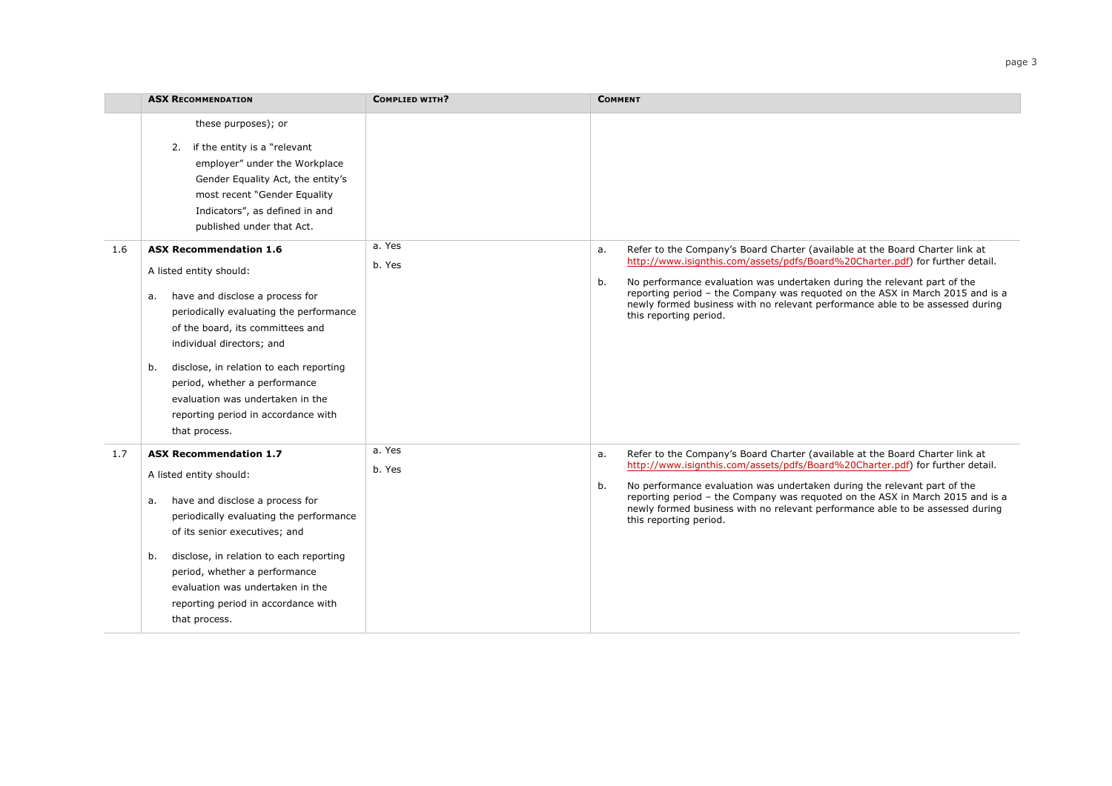|     | <b>ASX RECOMMENDATION</b>                                                                                                                                                                                                                                                                                                                                                                   | <b>COMPLIED WITH?</b> | <b>COMMENT</b>                                                                                                                                                                                                                                                                                                                                                                                                                                    |
|-----|---------------------------------------------------------------------------------------------------------------------------------------------------------------------------------------------------------------------------------------------------------------------------------------------------------------------------------------------------------------------------------------------|-----------------------|---------------------------------------------------------------------------------------------------------------------------------------------------------------------------------------------------------------------------------------------------------------------------------------------------------------------------------------------------------------------------------------------------------------------------------------------------|
|     | these purposes); or<br>2. if the entity is a "relevant<br>employer" under the Workplace<br>Gender Equality Act, the entity's<br>most recent "Gender Equality<br>Indicators", as defined in and<br>published under that Act.                                                                                                                                                                 |                       |                                                                                                                                                                                                                                                                                                                                                                                                                                                   |
| 1.6 | <b>ASX Recommendation 1.6</b><br>A listed entity should:<br>have and disclose a process for<br>a.<br>periodically evaluating the performance<br>of the board, its committees and<br>individual directors; and<br>disclose, in relation to each reporting<br>b.<br>period, whether a performance<br>evaluation was undertaken in the<br>reporting period in accordance with<br>that process. | a. Yes<br>b. Yes      | Refer to the Company's Board Charter (available at the Board Charter link at<br>a.<br>http://www.isignthis.com/assets/pdfs/Board%20Charter.pdf) for further detail.<br>No performance evaluation was undertaken during the relevant part of the<br>b.<br>reporting period - the Company was reguoted on the ASX in March 2015 and is a<br>newly formed business with no relevant performance able to be assessed during<br>this reporting period. |
| 1.7 | <b>ASX Recommendation 1.7</b><br>A listed entity should:<br>have and disclose a process for<br>а.<br>periodically evaluating the performance<br>of its senior executives; and<br>disclose, in relation to each reporting<br>b.<br>period, whether a performance<br>evaluation was undertaken in the<br>reporting period in accordance with<br>that process.                                 | a. Yes<br>b. Yes      | Refer to the Company's Board Charter (available at the Board Charter link at<br>a.<br>http://www.isignthis.com/assets/pdfs/Board%20Charter.pdf) for further detail.<br>b.<br>No performance evaluation was undertaken during the relevant part of the<br>reporting period - the Company was reguoted on the ASX in March 2015 and is a<br>newly formed business with no relevant performance able to be assessed during<br>this reporting period. |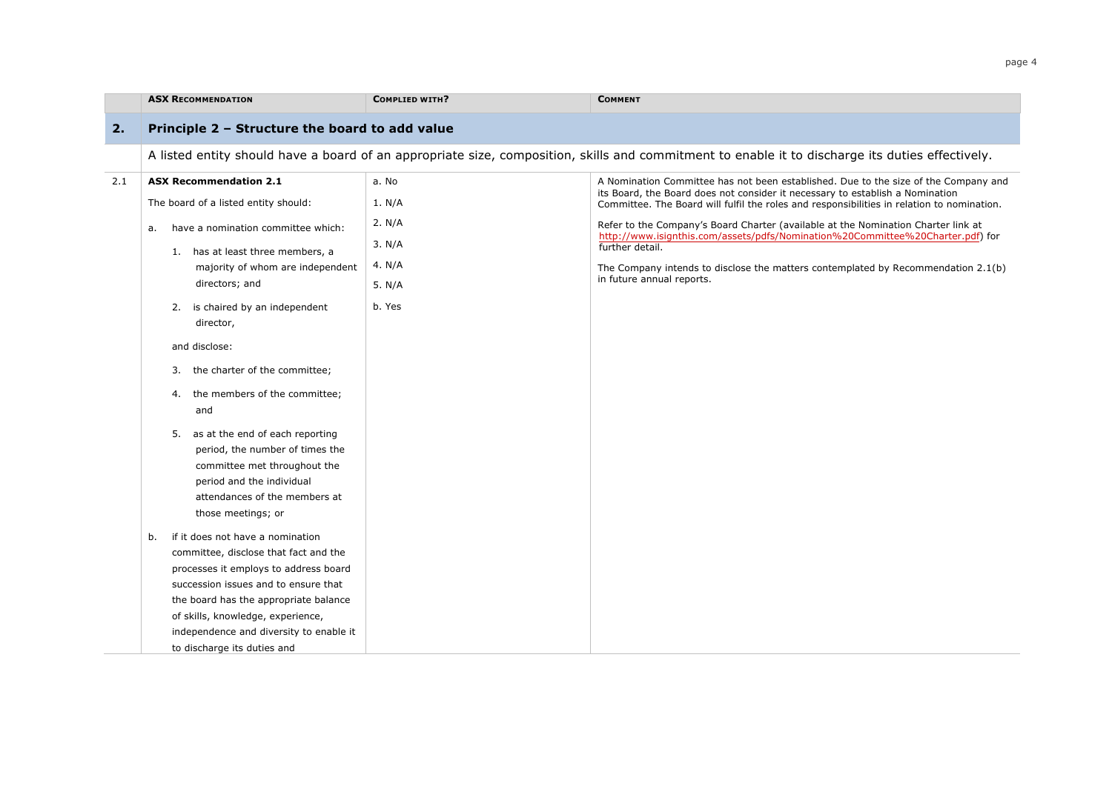|     | <b>ASX RECOMMENDATION</b>                                                                                                                                                                                                                                                                                                                                                                                                                                                                                                                                                                                                                                                                                                                                                         | <b>COMPLIED WITH?</b>                                               | <b>COMMENT</b>                                                                                                                                                                                                                                                                                                                                                                                                                                                                                                                                                                 |
|-----|-----------------------------------------------------------------------------------------------------------------------------------------------------------------------------------------------------------------------------------------------------------------------------------------------------------------------------------------------------------------------------------------------------------------------------------------------------------------------------------------------------------------------------------------------------------------------------------------------------------------------------------------------------------------------------------------------------------------------------------------------------------------------------------|---------------------------------------------------------------------|--------------------------------------------------------------------------------------------------------------------------------------------------------------------------------------------------------------------------------------------------------------------------------------------------------------------------------------------------------------------------------------------------------------------------------------------------------------------------------------------------------------------------------------------------------------------------------|
| 2.  | Principle 2 - Structure the board to add value                                                                                                                                                                                                                                                                                                                                                                                                                                                                                                                                                                                                                                                                                                                                    |                                                                     |                                                                                                                                                                                                                                                                                                                                                                                                                                                                                                                                                                                |
|     |                                                                                                                                                                                                                                                                                                                                                                                                                                                                                                                                                                                                                                                                                                                                                                                   |                                                                     | A listed entity should have a board of an appropriate size, composition, skills and commitment to enable it to discharge its duties effectively.                                                                                                                                                                                                                                                                                                                                                                                                                               |
| 2.1 | <b>ASX Recommendation 2.1</b><br>The board of a listed entity should:<br>have a nomination committee which:<br>a.<br>1. has at least three members, a<br>majority of whom are independent<br>directors; and<br>is chaired by an independent<br>2.<br>director,<br>and disclose:<br>the charter of the committee;<br>3.<br>the members of the committee;<br>4.<br>and<br>as at the end of each reporting<br>5.<br>period, the number of times the<br>committee met throughout the<br>period and the individual<br>attendances of the members at<br>those meetings; or<br>if it does not have a nomination<br>b.<br>committee, disclose that fact and the<br>processes it employs to address board<br>succession issues and to ensure that<br>the board has the appropriate balance | a. No<br>1. N/A<br>2. N/A<br>3. N/A<br>4. $N/A$<br>5. N/A<br>b. Yes | A Nomination Committee has not been established. Due to the size of the Company and<br>its Board, the Board does not consider it necessary to establish a Nomination<br>Committee. The Board will fulfil the roles and responsibilities in relation to nomination.<br>Refer to the Company's Board Charter (available at the Nomination Charter link at<br>http://www.isignthis.com/assets/pdfs/Nomination%20Committee%20Charter.pdf) for<br>further detail.<br>The Company intends to disclose the matters contemplated by Recommendation 2.1(b)<br>in future annual reports. |
|     | of skills, knowledge, experience,<br>independence and diversity to enable it<br>to discharge its duties and                                                                                                                                                                                                                                                                                                                                                                                                                                                                                                                                                                                                                                                                       |                                                                     |                                                                                                                                                                                                                                                                                                                                                                                                                                                                                                                                                                                |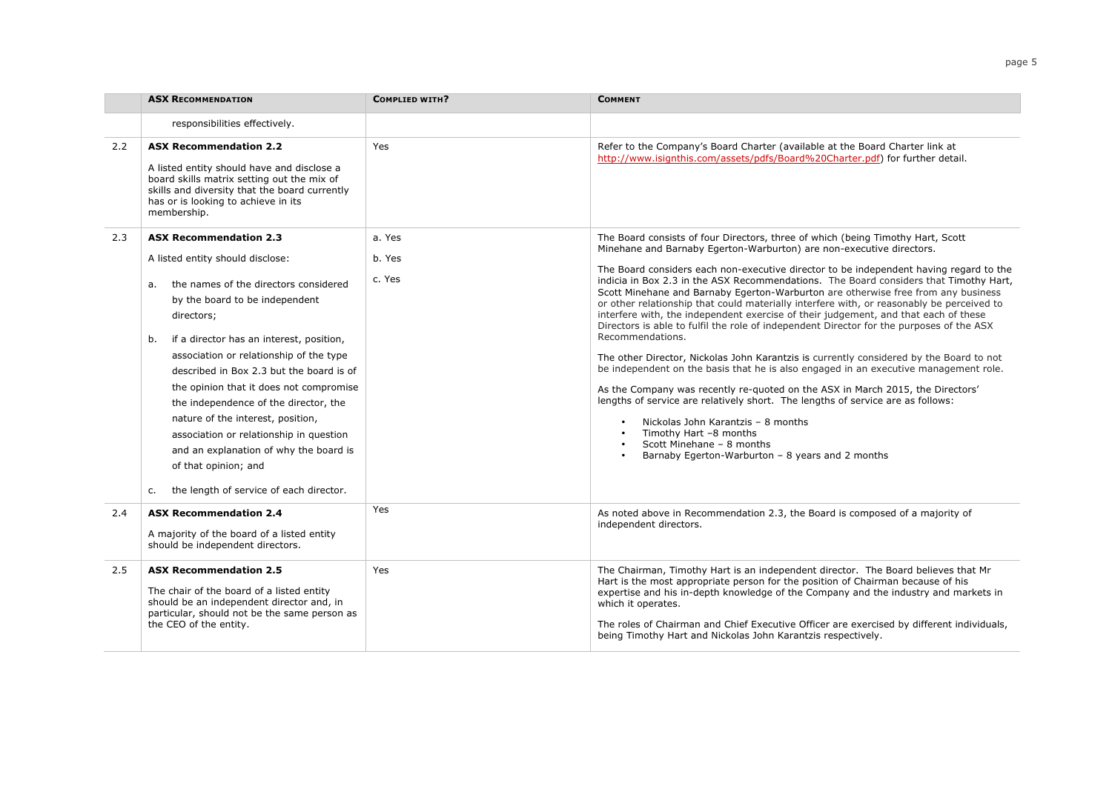|     | <b>ASX RECOMMENDATION</b>                                                                                                                                                                                                                                                                                                                                                                                                                                                                                                                                                                        | COMPLIED WITH?             | <b>COMMENT</b>                                                                                                                                                                                                                                                                                                                                                                                                                                                                                                                                                                                                                                                                                                                                                                                                                                                                                                                                                                                                                                                                                                                                                                                                                               |
|-----|--------------------------------------------------------------------------------------------------------------------------------------------------------------------------------------------------------------------------------------------------------------------------------------------------------------------------------------------------------------------------------------------------------------------------------------------------------------------------------------------------------------------------------------------------------------------------------------------------|----------------------------|----------------------------------------------------------------------------------------------------------------------------------------------------------------------------------------------------------------------------------------------------------------------------------------------------------------------------------------------------------------------------------------------------------------------------------------------------------------------------------------------------------------------------------------------------------------------------------------------------------------------------------------------------------------------------------------------------------------------------------------------------------------------------------------------------------------------------------------------------------------------------------------------------------------------------------------------------------------------------------------------------------------------------------------------------------------------------------------------------------------------------------------------------------------------------------------------------------------------------------------------|
|     | responsibilities effectively.                                                                                                                                                                                                                                                                                                                                                                                                                                                                                                                                                                    |                            |                                                                                                                                                                                                                                                                                                                                                                                                                                                                                                                                                                                                                                                                                                                                                                                                                                                                                                                                                                                                                                                                                                                                                                                                                                              |
| 2.2 | <b>ASX Recommendation 2.2</b><br>A listed entity should have and disclose a<br>board skills matrix setting out the mix of<br>skills and diversity that the board currently<br>has or is looking to achieve in its<br>membership.                                                                                                                                                                                                                                                                                                                                                                 | Yes                        | Refer to the Company's Board Charter (available at the Board Charter link at<br>http://www.isignthis.com/assets/pdfs/Board%20Charter.pdf) for further detail.                                                                                                                                                                                                                                                                                                                                                                                                                                                                                                                                                                                                                                                                                                                                                                                                                                                                                                                                                                                                                                                                                |
| 2.3 | <b>ASX Recommendation 2.3</b><br>A listed entity should disclose:<br>the names of the directors considered<br>a.<br>by the board to be independent<br>directors;<br>if a director has an interest, position,<br>b.<br>association or relationship of the type<br>described in Box 2.3 but the board is of<br>the opinion that it does not compromise<br>the independence of the director, the<br>nature of the interest, position,<br>association or relationship in question<br>and an explanation of why the board is<br>of that opinion; and<br>the length of service of each director.<br>c. | a. Yes<br>b. Yes<br>c. Yes | The Board consists of four Directors, three of which (being Timothy Hart, Scott<br>Minehane and Barnaby Egerton-Warburton) are non-executive directors.<br>The Board considers each non-executive director to be independent having regard to the<br>indicia in Box 2.3 in the ASX Recommendations. The Board considers that Timothy Hart,<br>Scott Minehane and Barnaby Egerton-Warburton are otherwise free from any business<br>or other relationship that could materially interfere with, or reasonably be perceived to<br>interfere with, the independent exercise of their judgement, and that each of these<br>Directors is able to fulfil the role of independent Director for the purposes of the ASX<br>Recommendations.<br>The other Director, Nickolas John Karantzis is currently considered by the Board to not<br>be independent on the basis that he is also engaged in an executive management role.<br>As the Company was recently re-quoted on the ASX in March 2015, the Directors'<br>lengths of service are relatively short. The lengths of service are as follows:<br>Nickolas John Karantzis - 8 months<br>Timothy Hart -8 months<br>Scott Minehane - 8 months<br>Barnaby Egerton-Warburton - 8 years and 2 months |
| 2.4 | <b>ASX Recommendation 2.4</b><br>A majority of the board of a listed entity<br>should be independent directors.                                                                                                                                                                                                                                                                                                                                                                                                                                                                                  | Yes                        | As noted above in Recommendation 2.3, the Board is composed of a majority of<br>independent directors.                                                                                                                                                                                                                                                                                                                                                                                                                                                                                                                                                                                                                                                                                                                                                                                                                                                                                                                                                                                                                                                                                                                                       |
| 2.5 | <b>ASX Recommendation 2.5</b><br>The chair of the board of a listed entity<br>should be an independent director and, in<br>particular, should not be the same person as<br>the CEO of the entity.                                                                                                                                                                                                                                                                                                                                                                                                | Yes                        | The Chairman, Timothy Hart is an independent director. The Board believes that Mr<br>Hart is the most appropriate person for the position of Chairman because of his<br>expertise and his in-depth knowledge of the Company and the industry and markets in<br>which it operates.<br>The roles of Chairman and Chief Executive Officer are exercised by different individuals,<br>being Timothy Hart and Nickolas John Karantzis respectively.                                                                                                                                                                                                                                                                                                                                                                                                                                                                                                                                                                                                                                                                                                                                                                                               |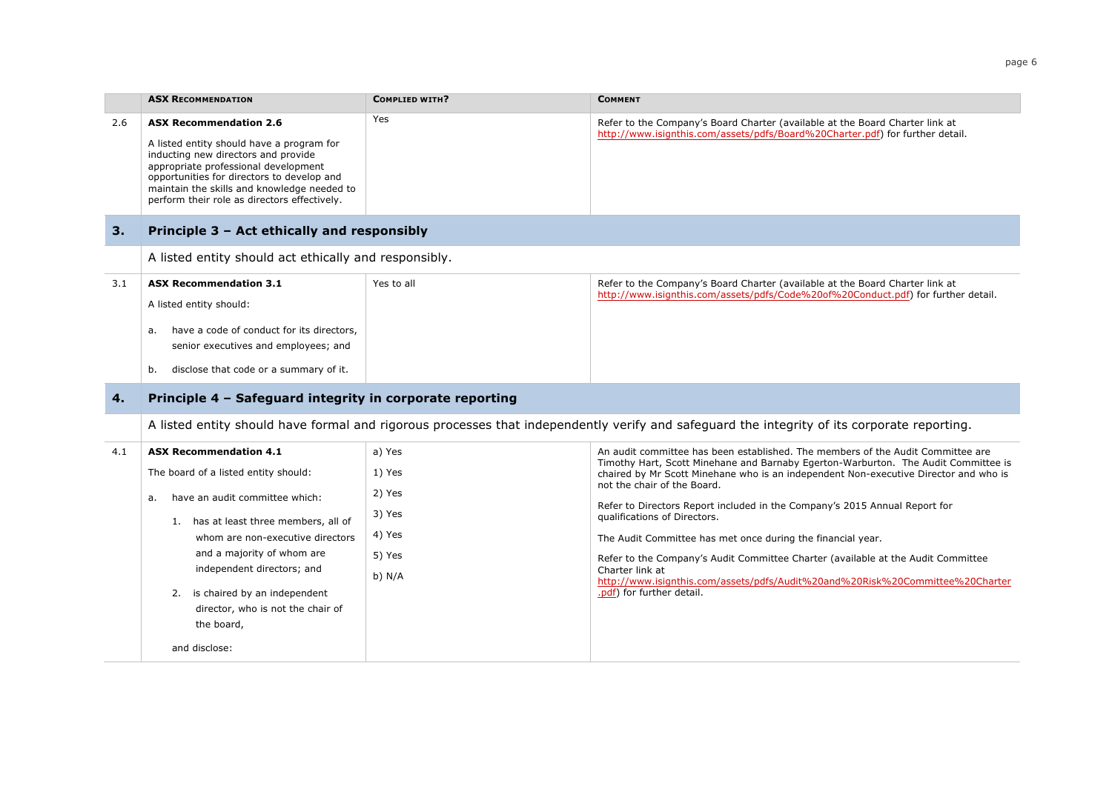|     | <b>ASX RECOMMENDATION</b>                                                                                                                                                                                                                                                                              | <b>COMPLIED WITH?</b> | <b>COMMENT</b>                                                                                                                                                                                            |
|-----|--------------------------------------------------------------------------------------------------------------------------------------------------------------------------------------------------------------------------------------------------------------------------------------------------------|-----------------------|-----------------------------------------------------------------------------------------------------------------------------------------------------------------------------------------------------------|
| 2.6 | <b>ASX Recommendation 2.6</b><br>A listed entity should have a program for<br>inducting new directors and provide<br>appropriate professional development<br>opportunities for directors to develop and<br>maintain the skills and knowledge needed to<br>perform their role as directors effectively. | Yes                   | Refer to the Company's Board Charter (available at the Board Charter link at<br>http://www.isignthis.com/assets/pdfs/Board%20Charter.pdf) for further detail.                                             |
| 3.  | Principle 3 - Act ethically and responsibly                                                                                                                                                                                                                                                            |                       |                                                                                                                                                                                                           |
|     | A listed entity should act ethically and responsibly.                                                                                                                                                                                                                                                  |                       |                                                                                                                                                                                                           |
| 3.1 | <b>ASX Recommendation 3.1</b><br>A listed entity should:<br>have a code of conduct for its directors,<br>a.<br>senior executives and employees; and<br>disclose that code or a summary of it.<br>b.                                                                                                    | Yes to all            | Refer to the Company's Board Charter (available at the Board Charter link at<br>http://www.isignthis.com/assets/pdfs/Code%20of%20Conduct.pdf) for further detail.                                         |
| 4.  | Principle 4 - Safeguard integrity in corporate reporting                                                                                                                                                                                                                                               |                       |                                                                                                                                                                                                           |
|     |                                                                                                                                                                                                                                                                                                        |                       | A listed entity should have formal and rigorous processes that independently verify and safeguard the integrity of its corporate reporting.                                                               |
| 4.1 | <b>ASX Recommendation 4.1</b>                                                                                                                                                                                                                                                                          | a) Yes                | An audit committee has been established. The members of the Audit Committee are                                                                                                                           |
|     | The board of a listed entity should:                                                                                                                                                                                                                                                                   | 1) Yes<br>2) Yes      | Timothy Hart, Scott Minehane and Barnaby Egerton-Warburton. The Audit Committee is<br>chaired by Mr Scott Minehane who is an independent Non-executive Director and who is<br>not the chair of the Board. |
|     | have an audit committee which:<br>a.<br>1. has at least three members, all of                                                                                                                                                                                                                          | 3) Yes                | Refer to Directors Report included in the Company's 2015 Annual Report for<br>qualifications of Directors.                                                                                                |
|     | whom are non-executive directors                                                                                                                                                                                                                                                                       | 4) Yes                | The Audit Committee has met once during the financial year.                                                                                                                                               |
|     | and a majority of whom are<br>independent directors; and                                                                                                                                                                                                                                               | 5) Yes<br>$b)$ N/A    | Refer to the Company's Audit Committee Charter (available at the Audit Committee<br>Charter link at<br>http://www.isignthis.com/assets/pdfs/Audit%20and%20Risk%20Committee%20Charter                      |
|     | 2. is chaired by an independent<br>director, who is not the chair of<br>the board,                                                                                                                                                                                                                     |                       | .pdf) for further detail.                                                                                                                                                                                 |
|     | and disclose:                                                                                                                                                                                                                                                                                          |                       |                                                                                                                                                                                                           |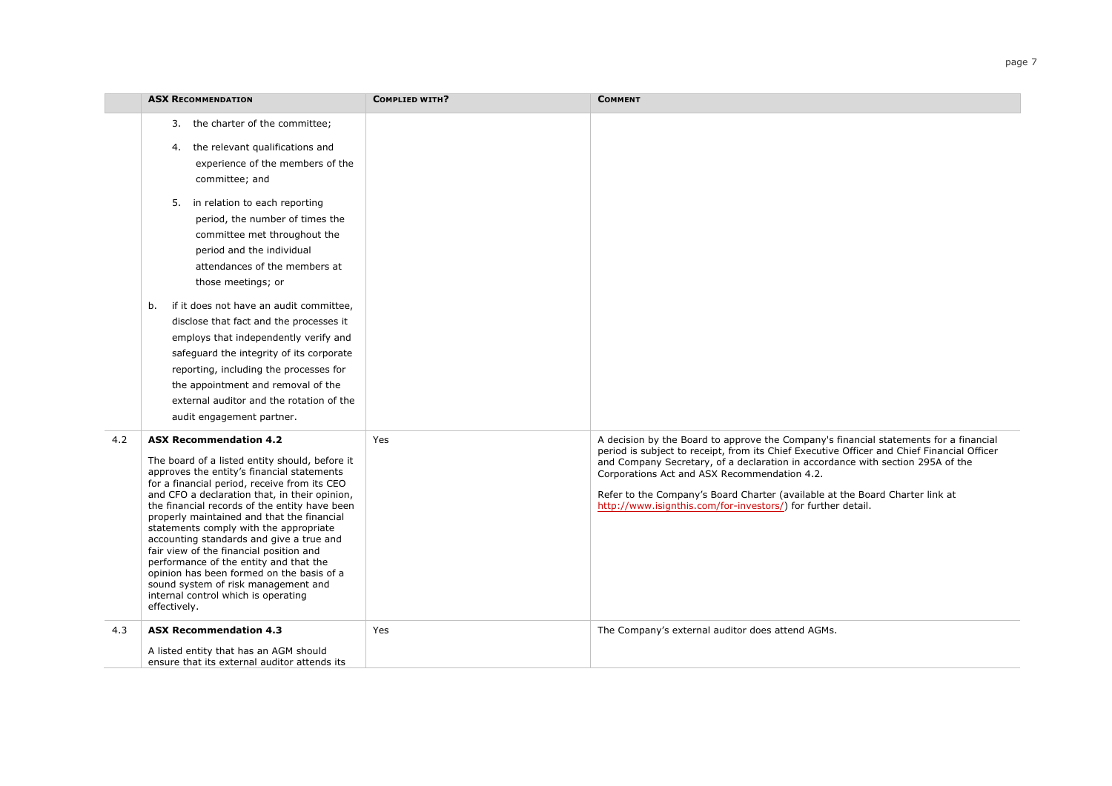|     | <b>ASX RECOMMENDATION</b>                                                                                                                                                                                                                                                                                                                                                                                                                                                                                                                                                                                                                           | <b>COMPLIED WITH?</b> | <b>COMMENT</b>                                                                                                                                                                                                                                                                                                                                                                                                                                                        |
|-----|-----------------------------------------------------------------------------------------------------------------------------------------------------------------------------------------------------------------------------------------------------------------------------------------------------------------------------------------------------------------------------------------------------------------------------------------------------------------------------------------------------------------------------------------------------------------------------------------------------------------------------------------------------|-----------------------|-----------------------------------------------------------------------------------------------------------------------------------------------------------------------------------------------------------------------------------------------------------------------------------------------------------------------------------------------------------------------------------------------------------------------------------------------------------------------|
|     | 3. the charter of the committee;<br>4. the relevant qualifications and<br>experience of the members of the<br>committee; and<br>5. in relation to each reporting<br>period, the number of times the<br>committee met throughout the<br>period and the individual<br>attendances of the members at<br>those meetings; or                                                                                                                                                                                                                                                                                                                             |                       |                                                                                                                                                                                                                                                                                                                                                                                                                                                                       |
|     | if it does not have an audit committee.<br>b.<br>disclose that fact and the processes it<br>employs that independently verify and<br>safeguard the integrity of its corporate<br>reporting, including the processes for<br>the appointment and removal of the<br>external auditor and the rotation of the<br>audit engagement partner.                                                                                                                                                                                                                                                                                                              |                       |                                                                                                                                                                                                                                                                                                                                                                                                                                                                       |
| 4.2 | <b>ASX Recommendation 4.2</b><br>The board of a listed entity should, before it<br>approves the entity's financial statements<br>for a financial period, receive from its CEO<br>and CFO a declaration that, in their opinion,<br>the financial records of the entity have been<br>properly maintained and that the financial<br>statements comply with the appropriate<br>accounting standards and give a true and<br>fair view of the financial position and<br>performance of the entity and that the<br>opinion has been formed on the basis of a<br>sound system of risk management and<br>internal control which is operating<br>effectively. | Yes                   | A decision by the Board to approve the Company's financial statements for a financial<br>period is subject to receipt, from its Chief Executive Officer and Chief Financial Officer<br>and Company Secretary, of a declaration in accordance with section 295A of the<br>Corporations Act and ASX Recommendation 4.2.<br>Refer to the Company's Board Charter (available at the Board Charter link at<br>http://www.isignthis.com/for-investors/) for further detail. |
| 4.3 | <b>ASX Recommendation 4.3</b><br>A listed entity that has an AGM should<br>ensure that its external auditor attends its                                                                                                                                                                                                                                                                                                                                                                                                                                                                                                                             | Yes                   | The Company's external auditor does attend AGMs.                                                                                                                                                                                                                                                                                                                                                                                                                      |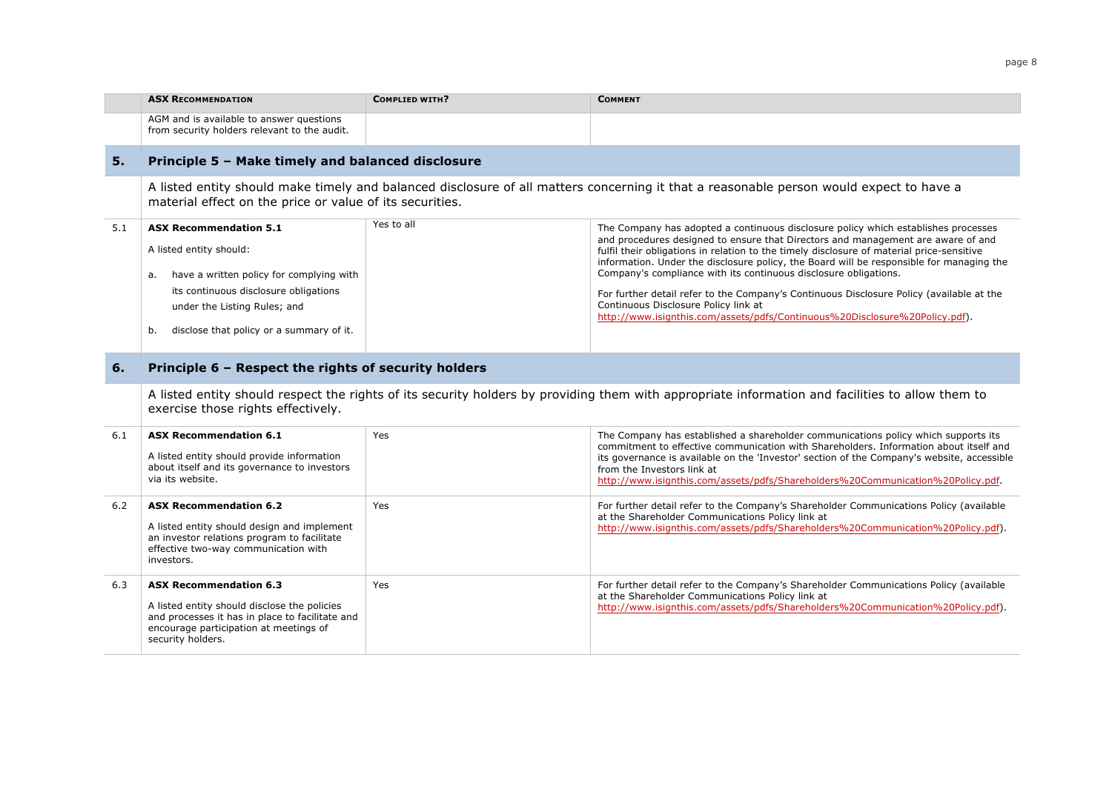|     | <b>ASX RECOMMENDATION</b>                                                                                                                                                                                                             | <b>COMPLIED WITH?</b> | <b>COMMENT</b>                                                                                                                                                                                                                                                                                                                                                                                                                                                                                                                                                                                                                                         |  |  |
|-----|---------------------------------------------------------------------------------------------------------------------------------------------------------------------------------------------------------------------------------------|-----------------------|--------------------------------------------------------------------------------------------------------------------------------------------------------------------------------------------------------------------------------------------------------------------------------------------------------------------------------------------------------------------------------------------------------------------------------------------------------------------------------------------------------------------------------------------------------------------------------------------------------------------------------------------------------|--|--|
|     | AGM and is available to answer questions<br>from security holders relevant to the audit.                                                                                                                                              |                       |                                                                                                                                                                                                                                                                                                                                                                                                                                                                                                                                                                                                                                                        |  |  |
| 5.  | Principle 5 - Make timely and balanced disclosure                                                                                                                                                                                     |                       |                                                                                                                                                                                                                                                                                                                                                                                                                                                                                                                                                                                                                                                        |  |  |
|     | material effect on the price or value of its securities.                                                                                                                                                                              |                       | A listed entity should make timely and balanced disclosure of all matters concerning it that a reasonable person would expect to have a                                                                                                                                                                                                                                                                                                                                                                                                                                                                                                                |  |  |
| 5.1 | <b>ASX Recommendation 5.1</b><br>A listed entity should:<br>have a written policy for complying with<br>а.<br>its continuous disclosure obligations<br>under the Listing Rules; and<br>disclose that policy or a summary of it.<br>b. | Yes to all            | The Company has adopted a continuous disclosure policy which establishes processes<br>and procedures designed to ensure that Directors and management are aware of and<br>fulfil their obligations in relation to the timely disclosure of material price-sensitive<br>information. Under the disclosure policy, the Board will be responsible for managing the<br>Company's compliance with its continuous disclosure obligations.<br>For further detail refer to the Company's Continuous Disclosure Policy (available at the<br>Continuous Disclosure Policy link at<br>http://www.isignthis.com/assets/pdfs/Continuous%20Disclosure%20Policy.pdf). |  |  |
| 6.  | Principle 6 - Respect the rights of security holders                                                                                                                                                                                  |                       |                                                                                                                                                                                                                                                                                                                                                                                                                                                                                                                                                                                                                                                        |  |  |
|     | A listed entity should respect the rights of its security holders by providing them with appropriate information and facilities to allow them to<br>exercise those rights effectively.                                                |                       |                                                                                                                                                                                                                                                                                                                                                                                                                                                                                                                                                                                                                                                        |  |  |
| 6.1 | <b>ASX Recommendation 6.1</b><br>A listed entity should provide information<br>about itself and its governance to investors<br>via its website.                                                                                       | Yes                   | The Company has established a shareholder communications policy which supports its<br>commitment to effective communication with Shareholders. Information about itself and<br>its governance is available on the 'Investor' section of the Company's website, accessible<br>from the Investors link at<br>http://www.isignthis.com/assets/pdfs/Shareholders%20Communication%20Policy.pdf.                                                                                                                                                                                                                                                             |  |  |
| 6.2 | <b>ASX Recommendation 6.2</b><br>A listed entity should design and implement<br>an investor relations program to facilitate<br>effective two-way communication with<br>investors.                                                     | Yes                   | For further detail refer to the Company's Shareholder Communications Policy (available<br>at the Shareholder Communications Policy link at<br>http://www.isignthis.com/assets/pdfs/Shareholders%20Communication%20Policy.pdf).                                                                                                                                                                                                                                                                                                                                                                                                                         |  |  |
| 6.3 | <b>ASX Recommendation 6.3</b><br>A listed entity should disclose the policies<br>and processes it has in place to facilitate and<br>encourage participation at meetings of<br>security holders.                                       | Yes                   | For further detail refer to the Company's Shareholder Communications Policy (available<br>at the Shareholder Communications Policy link at<br>http://www.isignthis.com/assets/pdfs/Shareholders%20Communication%20Policy.pdf).                                                                                                                                                                                                                                                                                                                                                                                                                         |  |  |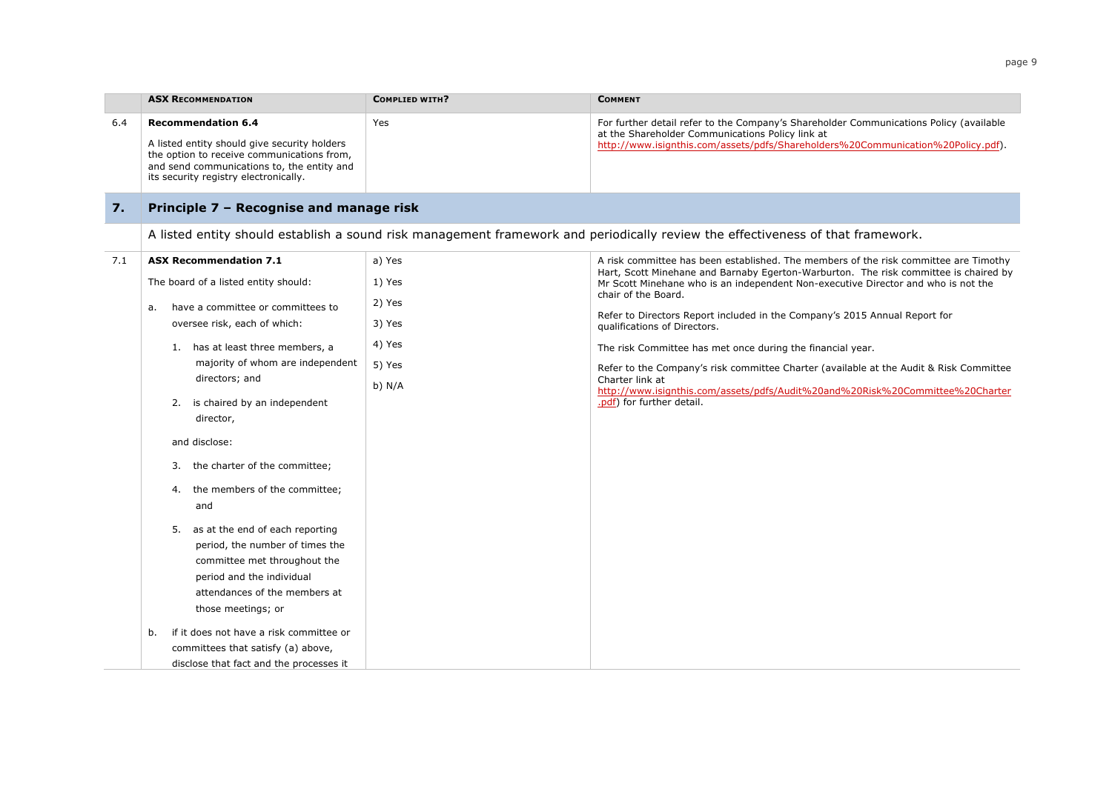|     | <b>ASX RECOMMENDATION</b>                                                                                                                                                                                                                                                                                                                                                                                                                                                                                                                                                                        | <b>COMPLIED WITH?</b>                                              | <b>COMMENT</b>                                                                                                                                                                                                                                                                                                                                                                                                                                                                                                                                                                                                                                                                                  |
|-----|--------------------------------------------------------------------------------------------------------------------------------------------------------------------------------------------------------------------------------------------------------------------------------------------------------------------------------------------------------------------------------------------------------------------------------------------------------------------------------------------------------------------------------------------------------------------------------------------------|--------------------------------------------------------------------|-------------------------------------------------------------------------------------------------------------------------------------------------------------------------------------------------------------------------------------------------------------------------------------------------------------------------------------------------------------------------------------------------------------------------------------------------------------------------------------------------------------------------------------------------------------------------------------------------------------------------------------------------------------------------------------------------|
| 6.4 | <b>Recommendation 6.4</b><br>A listed entity should give security holders<br>the option to receive communications from,<br>and send communications to, the entity and<br>its security registry electronically.                                                                                                                                                                                                                                                                                                                                                                                   | Yes                                                                | For further detail refer to the Company's Shareholder Communications Policy (available<br>at the Shareholder Communications Policy link at<br>http://www.isignthis.com/assets/pdfs/Shareholders%20Communication%20Policy.pdf).                                                                                                                                                                                                                                                                                                                                                                                                                                                                  |
| 7.  | Principle 7 - Recognise and manage risk                                                                                                                                                                                                                                                                                                                                                                                                                                                                                                                                                          |                                                                    |                                                                                                                                                                                                                                                                                                                                                                                                                                                                                                                                                                                                                                                                                                 |
|     |                                                                                                                                                                                                                                                                                                                                                                                                                                                                                                                                                                                                  |                                                                    | A listed entity should establish a sound risk management framework and periodically review the effectiveness of that framework.                                                                                                                                                                                                                                                                                                                                                                                                                                                                                                                                                                 |
| 7.1 | <b>ASX Recommendation 7.1</b><br>The board of a listed entity should:<br>have a committee or committees to<br>а.<br>oversee risk, each of which:<br>1. has at least three members, a<br>majority of whom are independent<br>directors; and<br>2.<br>is chaired by an independent<br>director,<br>and disclose:<br>the charter of the committee;<br>3.<br>the members of the committee;<br>4.<br>and<br>5. as at the end of each reporting<br>period, the number of times the<br>committee met throughout the<br>period and the individual<br>attendances of the members at<br>those meetings; or | a) Yes<br>1) Yes<br>2) Yes<br>3) Yes<br>4) Yes<br>5) Yes<br>b) N/A | A risk committee has been established. The members of the risk committee are Timothy<br>Hart, Scott Minehane and Barnaby Egerton-Warburton. The risk committee is chaired by<br>Mr Scott Minehane who is an independent Non-executive Director and who is not the<br>chair of the Board.<br>Refer to Directors Report included in the Company's 2015 Annual Report for<br>qualifications of Directors.<br>The risk Committee has met once during the financial year.<br>Refer to the Company's risk committee Charter (available at the Audit & Risk Committee<br>Charter link at<br>http://www.isignthis.com/assets/pdfs/Audit%20and%20Risk%20Committee%20Charter<br>.pdf) for further detail. |
|     | if it does not have a risk committee or<br>b.<br>committees that satisfy (a) above,<br>disclose that fact and the processes it                                                                                                                                                                                                                                                                                                                                                                                                                                                                   |                                                                    |                                                                                                                                                                                                                                                                                                                                                                                                                                                                                                                                                                                                                                                                                                 |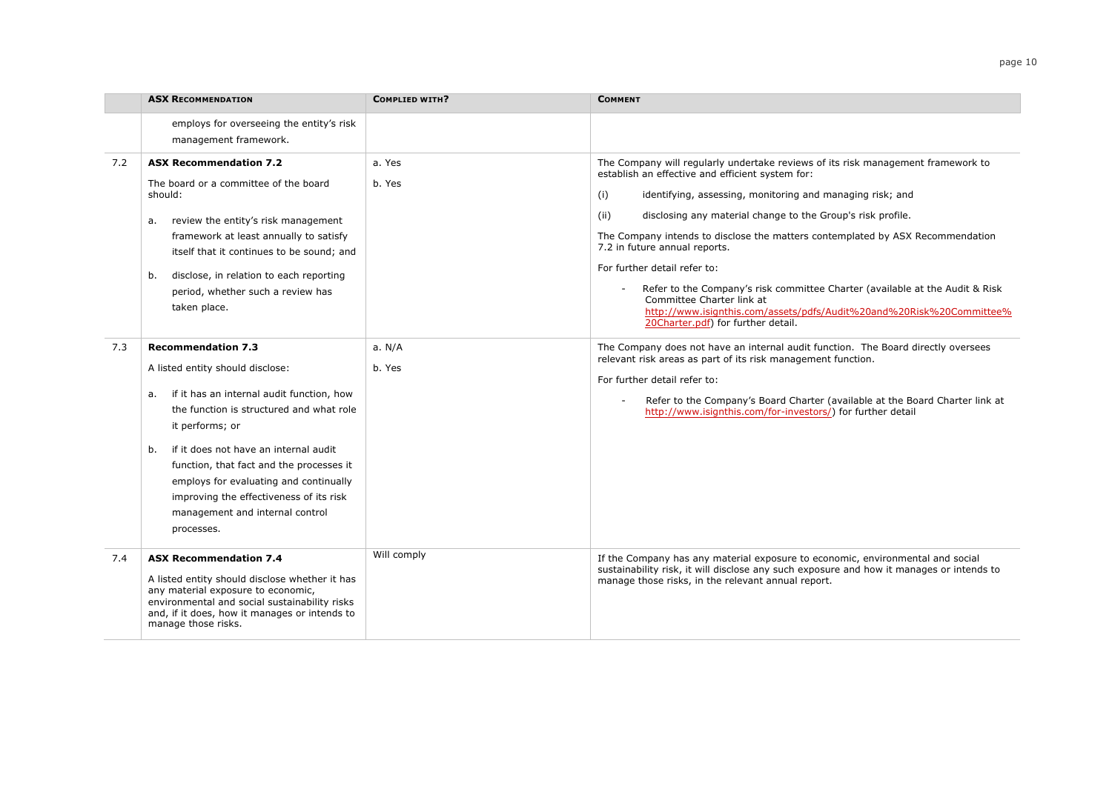|     | <b>ASX RECOMMENDATION</b>                                                                                                                                                                                                                                                                                                                                                                                        | <b>COMPLIED WITH?</b> | <b>COMMENT</b>                                                                                                                                                                                                                                                                                                                                                                                                                                                                                                                                                                                                                                                |
|-----|------------------------------------------------------------------------------------------------------------------------------------------------------------------------------------------------------------------------------------------------------------------------------------------------------------------------------------------------------------------------------------------------------------------|-----------------------|---------------------------------------------------------------------------------------------------------------------------------------------------------------------------------------------------------------------------------------------------------------------------------------------------------------------------------------------------------------------------------------------------------------------------------------------------------------------------------------------------------------------------------------------------------------------------------------------------------------------------------------------------------------|
|     | employs for overseeing the entity's risk<br>management framework.                                                                                                                                                                                                                                                                                                                                                |                       |                                                                                                                                                                                                                                                                                                                                                                                                                                                                                                                                                                                                                                                               |
| 7.2 | <b>ASX Recommendation 7.2</b><br>The board or a committee of the board<br>should:<br>review the entity's risk management<br>а.<br>framework at least annually to satisfy<br>itself that it continues to be sound; and<br>disclose, in relation to each reporting<br>b.<br>period, whether such a review has<br>taken place.                                                                                      | a. Yes<br>b. Yes      | The Company will regularly undertake reviews of its risk management framework to<br>establish an effective and efficient system for:<br>(i)<br>identifying, assessing, monitoring and managing risk; and<br>(ii)<br>disclosing any material change to the Group's risk profile.<br>The Company intends to disclose the matters contemplated by ASX Recommendation<br>7.2 in future annual reports.<br>For further detail refer to:<br>Refer to the Company's risk committee Charter (available at the Audit & Risk<br>Committee Charter link at<br>http://www.isignthis.com/assets/pdfs/Audit%20and%20Risk%20Committee%<br>20Charter.pdf) for further detail. |
| 7.3 | <b>Recommendation 7.3</b><br>A listed entity should disclose:<br>if it has an internal audit function, how<br>a.<br>the function is structured and what role<br>it performs; or<br>if it does not have an internal audit<br>b.<br>function, that fact and the processes it<br>employs for evaluating and continually<br>improving the effectiveness of its risk<br>management and internal control<br>processes. | a. N/A<br>b. Yes      | The Company does not have an internal audit function. The Board directly oversees<br>relevant risk areas as part of its risk management function.<br>For further detail refer to:<br>Refer to the Company's Board Charter (available at the Board Charter link at<br>$\sim$<br>http://www.isignthis.com/for-investors/) for further detail                                                                                                                                                                                                                                                                                                                    |
| 7.4 | <b>ASX Recommendation 7.4</b><br>A listed entity should disclose whether it has<br>any material exposure to economic,<br>environmental and social sustainability risks<br>and, if it does, how it manages or intends to<br>manage those risks.                                                                                                                                                                   | Will comply           | If the Company has any material exposure to economic, environmental and social<br>sustainability risk, it will disclose any such exposure and how it manages or intends to<br>manage those risks, in the relevant annual report.                                                                                                                                                                                                                                                                                                                                                                                                                              |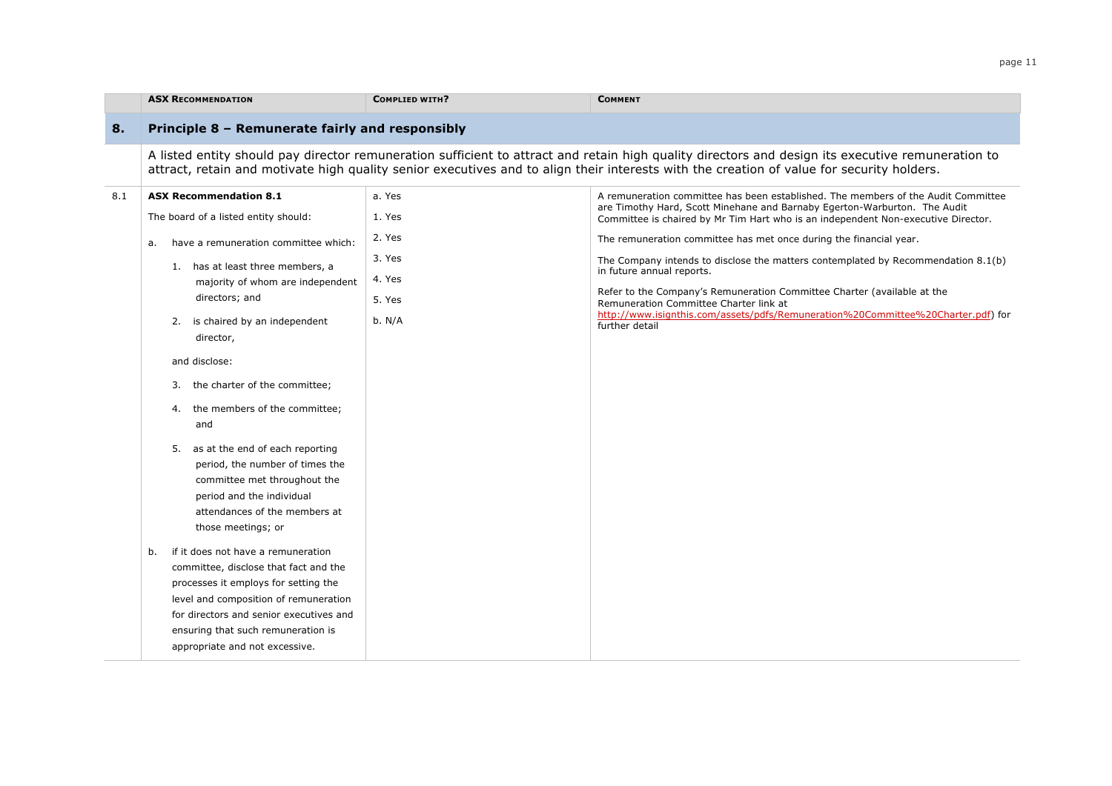|     | <b>ASX RECOMMENDATION</b>                                                                                                                                                                                                                                                                                                                                                                                                                                                                                                                                           | <b>COMPLIED WITH?</b>                                              | <b>COMMENT</b>                                                                                                                                                                                                                                                                                                                                                                                                                                                                                                                                                                                                                                                         |
|-----|---------------------------------------------------------------------------------------------------------------------------------------------------------------------------------------------------------------------------------------------------------------------------------------------------------------------------------------------------------------------------------------------------------------------------------------------------------------------------------------------------------------------------------------------------------------------|--------------------------------------------------------------------|------------------------------------------------------------------------------------------------------------------------------------------------------------------------------------------------------------------------------------------------------------------------------------------------------------------------------------------------------------------------------------------------------------------------------------------------------------------------------------------------------------------------------------------------------------------------------------------------------------------------------------------------------------------------|
| 8.  | Principle 8 - Remunerate fairly and responsibly                                                                                                                                                                                                                                                                                                                                                                                                                                                                                                                     |                                                                    |                                                                                                                                                                                                                                                                                                                                                                                                                                                                                                                                                                                                                                                                        |
|     |                                                                                                                                                                                                                                                                                                                                                                                                                                                                                                                                                                     |                                                                    | A listed entity should pay director remuneration sufficient to attract and retain high quality directors and design its executive remuneration to<br>attract, retain and motivate high quality senior executives and to align their interests with the creation of value for security holders.                                                                                                                                                                                                                                                                                                                                                                         |
| 8.1 | <b>ASX Recommendation 8.1</b><br>The board of a listed entity should:<br>have a remuneration committee which:<br>a.<br>1. has at least three members, a<br>majority of whom are independent<br>directors; and<br>2. is chaired by an independent<br>director,<br>and disclose:<br>the charter of the committee;<br>3.<br>the members of the committee;<br>4.<br>and<br>as at the end of each reporting<br>5.<br>period, the number of times the<br>committee met throughout the<br>period and the individual<br>attendances of the members at<br>those meetings; or | a. Yes<br>1. Yes<br>2. Yes<br>3. Yes<br>4. Yes<br>5. Yes<br>b. N/A | A remuneration committee has been established. The members of the Audit Committee<br>are Timothy Hard, Scott Minehane and Barnaby Egerton-Warburton. The Audit<br>Committee is chaired by Mr Tim Hart who is an independent Non-executive Director.<br>The remuneration committee has met once during the financial year.<br>The Company intends to disclose the matters contemplated by Recommendation 8.1(b)<br>in future annual reports.<br>Refer to the Company's Remuneration Committee Charter (available at the<br>Remuneration Committee Charter link at<br>http://www.isignthis.com/assets/pdfs/Remuneration%20Committee%20Charter.pdf) for<br>further detail |
|     | if it does not have a remuneration<br>b.<br>committee, disclose that fact and the<br>processes it employs for setting the<br>level and composition of remuneration<br>for directors and senior executives and<br>ensuring that such remuneration is<br>appropriate and not excessive.                                                                                                                                                                                                                                                                               |                                                                    |                                                                                                                                                                                                                                                                                                                                                                                                                                                                                                                                                                                                                                                                        |